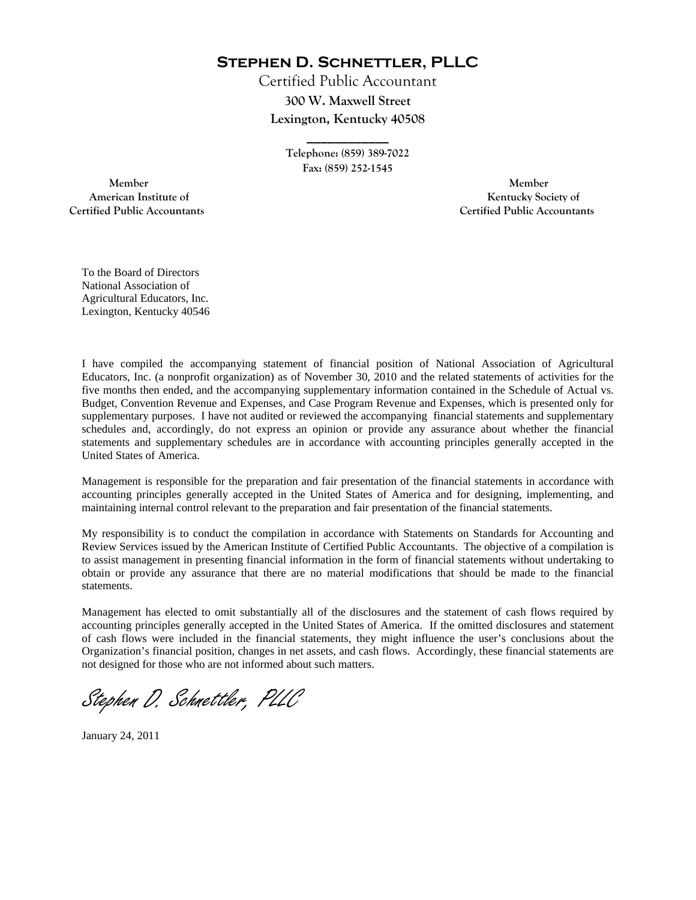**Stephen D. Schnettler, PLLC**

Certified Public Accountant **300 W. Maxwell Street Lexington, Kentucky 40508** 

> **Telephone: (859) 389-7022 Fax: (859) 252-1545**

**\_\_\_\_\_\_\_\_\_\_\_\_** 

 **Member Member Certified Public Accountants Certified Public Accountants** 

American Institute of **Kentucky Society of** 

To the Board of Directors National Association of Agricultural Educators, Inc. Lexington, Kentucky 40546

I have compiled the accompanying statement of financial position of National Association of Agricultural Educators, Inc. (a nonprofit organization) as of November 30, 2010 and the related statements of activities for the five months then ended, and the accompanying supplementary information contained in the Schedule of Actual vs. Budget, Convention Revenue and Expenses, and Case Program Revenue and Expenses, which is presented only for supplementary purposes. I have not audited or reviewed the accompanying financial statements and supplementary schedules and, accordingly, do not express an opinion or provide any assurance about whether the financial statements and supplementary schedules are in accordance with accounting principles generally accepted in the United States of America.

Management is responsible for the preparation and fair presentation of the financial statements in accordance with accounting principles generally accepted in the United States of America and for designing, implementing, and maintaining internal control relevant to the preparation and fair presentation of the financial statements.

My responsibility is to conduct the compilation in accordance with Statements on Standards for Accounting and Review Services issued by the American Institute of Certified Public Accountants. The objective of a compilation is to assist management in presenting financial information in the form of financial statements without undertaking to obtain or provide any assurance that there are no material modifications that should be made to the financial statements.

Management has elected to omit substantially all of the disclosures and the statement of cash flows required by accounting principles generally accepted in the United States of America. If the omitted disclosures and statement of cash flows were included in the financial statements, they might influence the user's conclusions about the Organization's financial position, changes in net assets, and cash flows. Accordingly, these financial statements are not designed for those who are not informed about such matters.

Stephen D. Schnettler, PLLC

January 24, 2011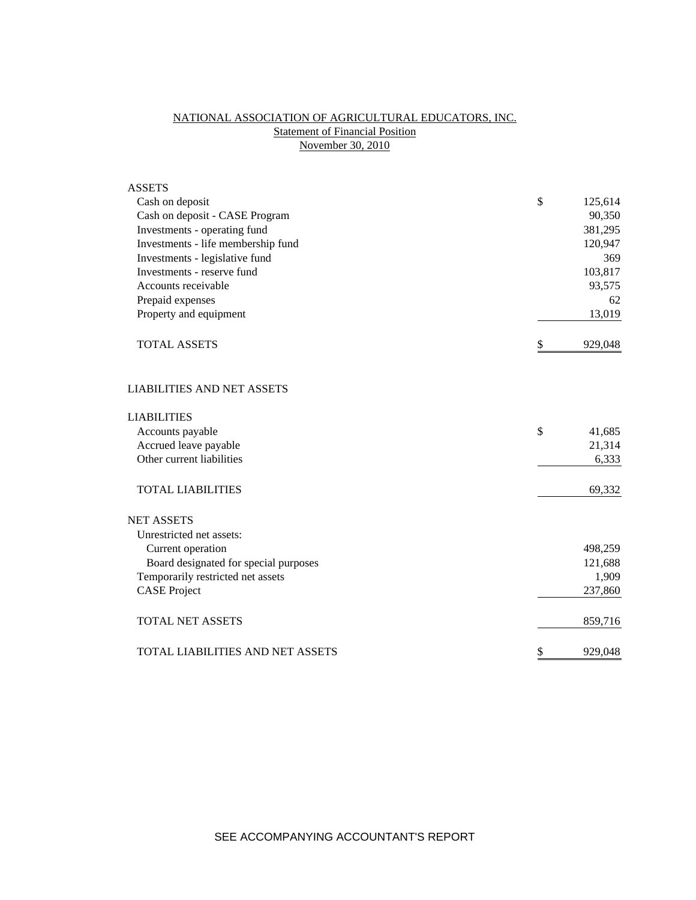## NATIONAL ASSOCIATION OF AGRICULTURAL EDUCATORS, INC. **Statement of Financial Position** November 30, 2010

| <b>ASSETS</b>                         |               |
|---------------------------------------|---------------|
| Cash on deposit                       | \$<br>125,614 |
| Cash on deposit - CASE Program        | 90,350        |
| Investments - operating fund          | 381,295       |
| Investments - life membership fund    | 120,947       |
| Investments - legislative fund        | 369           |
| Investments - reserve fund            | 103,817       |
| Accounts receivable                   | 93,575        |
| Prepaid expenses                      | 62            |
| Property and equipment                | 13,019        |
| <b>TOTAL ASSETS</b>                   | \$<br>929,048 |
| <b>LIABILITIES AND NET ASSETS</b>     |               |
| <b>LIABILITIES</b>                    |               |
| Accounts payable                      | \$<br>41,685  |
| Accrued leave payable                 | 21,314        |
| Other current liabilities             | 6,333         |
| <b>TOTAL LIABILITIES</b>              | 69,332        |
| <b>NET ASSETS</b>                     |               |
| Unrestricted net assets:              |               |
| Current operation                     | 498,259       |
| Board designated for special purposes | 121,688       |
| Temporarily restricted net assets     | 1,909         |
| <b>CASE Project</b>                   | 237,860       |
| <b>TOTAL NET ASSETS</b>               | 859,716       |
| TOTAL LIABILITIES AND NET ASSETS      | \$<br>929,048 |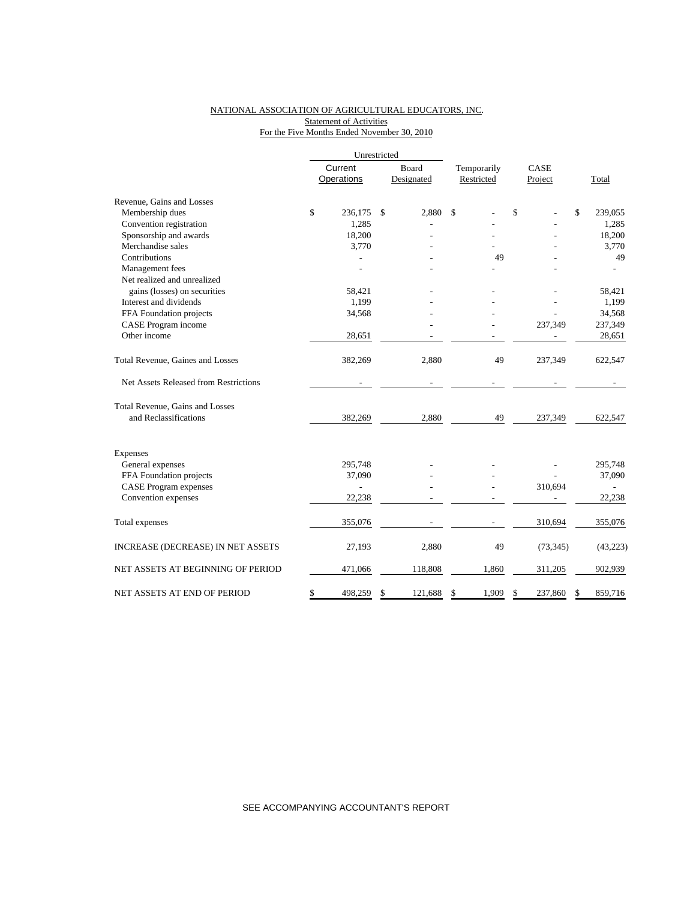## NATIONAL ASSOCIATION OF AGRICULTURAL EDUCATORS, INC. **Statement of Activities** For the Five Months Ended November 30, 2010

|                                       |    | Unrestricted |               |             |               |               |  |
|---------------------------------------|----|--------------|---------------|-------------|---------------|---------------|--|
|                                       |    | Current      | Board         | Temporarily | CASE          |               |  |
|                                       |    | Operations   | Designated    | Restricted  | Project       | Total         |  |
| Revenue, Gains and Losses             |    |              |               |             |               |               |  |
| Membership dues                       | \$ | 236,175      | \$<br>2.880   | \$          | \$            | \$<br>239,055 |  |
| Convention registration               |    | 1,285        |               |             |               | 1,285         |  |
| Sponsorship and awards                |    | 18,200       |               |             |               | 18,200        |  |
| Merchandise sales                     |    | 3,770        |               |             |               | 3,770         |  |
| Contributions                         |    |              |               | 49          |               | 49            |  |
| Management fees                       |    |              |               |             |               |               |  |
| Net realized and unrealized           |    |              |               |             |               |               |  |
| gains (losses) on securities          |    | 58,421       |               |             |               | 58,421        |  |
| Interest and dividends                |    | 1,199        |               |             |               | 1,199         |  |
| FFA Foundation projects               |    | 34,568       |               |             |               | 34,568        |  |
| CASE Program income                   |    |              |               |             | 237,349       | 237,349       |  |
| Other income                          |    | 28,651       |               |             |               | 28,651        |  |
| Total Revenue, Gaines and Losses      |    | 382,269      | 2,880         | 49          | 237,349       | 622,547       |  |
| Net Assets Released from Restrictions |    |              | ÷,            |             |               |               |  |
| Total Revenue, Gains and Losses       |    |              |               |             |               |               |  |
| and Reclassifications                 |    | 382,269      | 2,880         | 49          | 237,349       | 622,547       |  |
| Expenses                              |    |              |               |             |               |               |  |
| General expenses                      |    | 295,748      |               |             |               | 295,748       |  |
| FFA Foundation projects               |    | 37,090       |               |             |               | 37,090        |  |
| <b>CASE Program expenses</b>          |    | L,           |               |             | 310,694       |               |  |
| Convention expenses                   |    | 22,238       |               |             |               | 22,238        |  |
| Total expenses                        |    | 355,076      |               |             | 310,694       | 355,076       |  |
| INCREASE (DECREASE) IN NET ASSETS     |    | 27,193       | 2,880         | 49          | (73, 345)     | (43, 223)     |  |
| NET ASSETS AT BEGINNING OF PERIOD     |    | 471,066      | 118,808       | 1,860       | 311,205       | 902,939       |  |
| NET ASSETS AT END OF PERIOD           | \$ | 498,259      | \$<br>121,688 | \$<br>1,909 | \$<br>237,860 | \$<br>859,716 |  |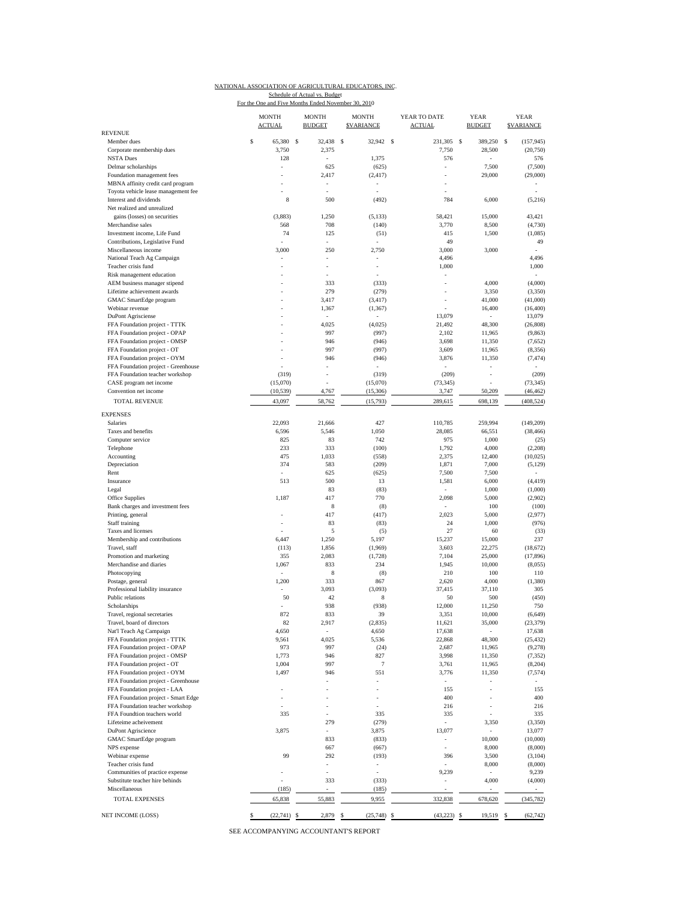|  | NATIONAL ASSOCIATION OF AGRICULTURAL EDUCATORS, INC. |
|--|------------------------------------------------------|
|  |                                                      |

Schedule of Actual vs. Budget<br>For the One and Five Months Ended November 30, 2010

|                                                                     | <b>MONTH</b><br><b>ACTUAL</b> |     | <b>MONTH</b><br><b>BUDGET</b>                                                                                                                                                                                                                                                                                                                                                                                                                                              |    | <b>MONTH</b><br><b>SVARIANCE</b> | YEAR TO DATE<br><b>ACTUAL</b> | <b>YEAR</b><br><b>BUDGET</b> | <b>YEAR</b><br><b>SVARIANCE</b> |
|---------------------------------------------------------------------|-------------------------------|-----|----------------------------------------------------------------------------------------------------------------------------------------------------------------------------------------------------------------------------------------------------------------------------------------------------------------------------------------------------------------------------------------------------------------------------------------------------------------------------|----|----------------------------------|-------------------------------|------------------------------|---------------------------------|
| <b>REVENUE</b><br>Member dues                                       | \$<br>65,380                  | \$  | 32,438                                                                                                                                                                                                                                                                                                                                                                                                                                                                     | s  | 32,942 \$                        | 231,305                       | <sup>\$</sup><br>389.250     | (157, 945)<br>s                 |
| Corporate membership dues                                           | 3,750                         |     | 2,375                                                                                                                                                                                                                                                                                                                                                                                                                                                                      |    |                                  | 7,750                         | 28,500                       | (20, 750)                       |
| <b>NSTA Dues</b>                                                    | 128                           |     | L,                                                                                                                                                                                                                                                                                                                                                                                                                                                                         |    | 1,375                            | 576                           | ÷,                           | 576                             |
| Delmar scholarships                                                 |                               |     | 625                                                                                                                                                                                                                                                                                                                                                                                                                                                                        |    | (625)                            |                               | 7,500                        | (7,500)                         |
| Foundation management fees                                          |                               |     | 2,417                                                                                                                                                                                                                                                                                                                                                                                                                                                                      |    | (2, 417)                         |                               | 29,000                       | (29,000)                        |
| MBNA affinity credit card program                                   |                               |     | ÷,                                                                                                                                                                                                                                                                                                                                                                                                                                                                         |    | ÷,                               |                               |                              |                                 |
| Toyota vehicle lease management fee                                 |                               |     |                                                                                                                                                                                                                                                                                                                                                                                                                                                                            |    |                                  |                               |                              |                                 |
| Interest and dividends                                              | 8                             |     | 500                                                                                                                                                                                                                                                                                                                                                                                                                                                                        |    | (492)                            | 784                           | 6,000                        | (5,216)                         |
| Net realized and unrealized<br>gains (losses) on securities         | (3,883)                       |     | 1,250                                                                                                                                                                                                                                                                                                                                                                                                                                                                      |    |                                  | 58,421                        | 15,000                       | 43,421                          |
| Merchandise sales                                                   | 568                           |     | 708                                                                                                                                                                                                                                                                                                                                                                                                                                                                        |    | (5, 133)<br>(140)                | 3,770                         | 8,500                        | (4,730)                         |
| Investment income, Life Fund                                        | 74                            |     | 125                                                                                                                                                                                                                                                                                                                                                                                                                                                                        |    | (51)                             | 415                           | 1,500                        | (1,085)                         |
| Contributions, Legislative Fund                                     |                               |     |                                                                                                                                                                                                                                                                                                                                                                                                                                                                            |    |                                  | 49                            |                              | 49                              |
| Miscellaneous income                                                | 3,000                         |     | 250                                                                                                                                                                                                                                                                                                                                                                                                                                                                        |    | 2,750                            | 3,000                         | 3,000                        |                                 |
| National Teach Ag Campaign                                          |                               |     | ÷,                                                                                                                                                                                                                                                                                                                                                                                                                                                                         |    | i,                               | 4,496                         |                              | 4,496                           |
| Teacher crisis fund                                                 |                               |     | ä,                                                                                                                                                                                                                                                                                                                                                                                                                                                                         |    | ÷,                               | 1,000                         |                              | 1,000                           |
| Risk management education                                           |                               |     | ä,                                                                                                                                                                                                                                                                                                                                                                                                                                                                         |    | ä,                               | ÷,                            |                              | $\sim$                          |
| AEM business manager stipend                                        |                               |     | 333                                                                                                                                                                                                                                                                                                                                                                                                                                                                        |    | (333)                            |                               | 4,000                        | (4,000)                         |
| Lifetime achievement awards                                         |                               |     | 279                                                                                                                                                                                                                                                                                                                                                                                                                                                                        |    | (279)                            | ÷,                            | 3,350                        | (3,350)                         |
| GMAC SmartEdge program                                              |                               |     | 3,417                                                                                                                                                                                                                                                                                                                                                                                                                                                                      |    | (3, 417)                         |                               | 41,000                       | (41,000)                        |
| Webinar revenue                                                     |                               |     | 1,367                                                                                                                                                                                                                                                                                                                                                                                                                                                                      |    | (1, 367)                         |                               | 16,400                       | (16, 400)                       |
| <b>DuPont Agrisciense</b>                                           |                               |     |                                                                                                                                                                                                                                                                                                                                                                                                                                                                            |    |                                  | 13,079                        | ×,                           | 13,079                          |
| FFA Foundation project - TTTK                                       |                               |     | 4,025                                                                                                                                                                                                                                                                                                                                                                                                                                                                      |    | (4,025)                          | 21,492                        | 48,300                       | (26, 808)                       |
| FFA Foundation project - OPAP                                       |                               |     | 997                                                                                                                                                                                                                                                                                                                                                                                                                                                                        |    | (997)                            | 2,102                         | 11,965                       | (9, 863)                        |
| FFA Foundation project - OMSP                                       |                               |     | 946                                                                                                                                                                                                                                                                                                                                                                                                                                                                        |    | (946)                            | 3,698                         | 11,350                       | (7,652)                         |
| FFA Foundation project - OT                                         |                               |     | 997<br>946                                                                                                                                                                                                                                                                                                                                                                                                                                                                 |    | (997)                            | 3,609                         | 11,965                       | (8,356)                         |
| FFA Foundation project - OYM<br>FFA Foundation project - Greenhouse |                               |     |                                                                                                                                                                                                                                                                                                                                                                                                                                                                            |    | (946)                            | 3,876                         | 11,350                       | (7, 474)                        |
| FFA Foundation teacher workshop                                     | (319)                         |     |                                                                                                                                                                                                                                                                                                                                                                                                                                                                            |    | (319)                            | (209)                         | ٠<br>٠                       | (209)                           |
| CASE program net income                                             | (15,070)                      |     |                                                                                                                                                                                                                                                                                                                                                                                                                                                                            |    | (15,070)                         | (73, 345)                     |                              | (73, 345)                       |
| Convention net income                                               | (10, 539)                     |     | 4,767                                                                                                                                                                                                                                                                                                                                                                                                                                                                      |    | (15,306)                         | 3,747                         | 50,209                       | (46, 462)                       |
| <b>TOTAL REVENUE</b>                                                |                               |     |                                                                                                                                                                                                                                                                                                                                                                                                                                                                            |    |                                  |                               |                              | (408, 524)                      |
| <b>EXPENSES</b>                                                     | 43,097                        |     | 58,762                                                                                                                                                                                                                                                                                                                                                                                                                                                                     |    | (15,793)                         | 289,615                       | 698,139                      |                                 |
| Salaries                                                            | 22,093                        |     | 21,666                                                                                                                                                                                                                                                                                                                                                                                                                                                                     |    | 427                              | 110,785                       | 259,994                      | (149, 209)                      |
| Taxes and benefits                                                  | 6,596                         |     | 5,546                                                                                                                                                                                                                                                                                                                                                                                                                                                                      |    | 1,050                            | 28,085                        | 66,551                       | (38, 466)                       |
| Computer service                                                    | 825                           |     | 83                                                                                                                                                                                                                                                                                                                                                                                                                                                                         |    | 742                              | 975                           | 1,000                        | (25)                            |
| Telephone                                                           | 233                           |     | 333                                                                                                                                                                                                                                                                                                                                                                                                                                                                        |    | (100)                            | 1,792                         | 4,000                        | (2,208)                         |
| Accounting                                                          | 475                           |     | 1,033                                                                                                                                                                                                                                                                                                                                                                                                                                                                      |    | (558)                            | 2,375                         | 12,400                       | (10,025)                        |
| Depreciation                                                        | 374                           |     | 583                                                                                                                                                                                                                                                                                                                                                                                                                                                                        |    | (209)                            | 1,871                         | 7,000                        | (5, 129)                        |
| Rent                                                                |                               |     | 625                                                                                                                                                                                                                                                                                                                                                                                                                                                                        |    | (625)                            | 7,500                         | 7,500                        | ÷,                              |
| Insurance                                                           | 513                           |     | 500                                                                                                                                                                                                                                                                                                                                                                                                                                                                        |    | 13                               | 1,581                         | 6,000                        | (4, 419)                        |
| Legal                                                               |                               |     | 83                                                                                                                                                                                                                                                                                                                                                                                                                                                                         |    | (83)                             |                               | 1,000                        | (1,000)                         |
| Office Supplies                                                     | 1,187                         |     | 417                                                                                                                                                                                                                                                                                                                                                                                                                                                                        |    | 770                              | 2,098                         | 5,000                        | (2,902)                         |
| Bank charges and investment fees                                    |                               |     | 8                                                                                                                                                                                                                                                                                                                                                                                                                                                                          |    | (8)                              |                               | 100                          | (100)                           |
| Printing, general                                                   |                               |     | 417                                                                                                                                                                                                                                                                                                                                                                                                                                                                        |    | (417)                            | 2,023                         | 5,000                        | (2,977)                         |
| Staff training                                                      |                               |     | 83                                                                                                                                                                                                                                                                                                                                                                                                                                                                         |    | (83)                             | 24                            | 1,000                        | (976)                           |
| Taxes and licenses                                                  |                               |     | 5                                                                                                                                                                                                                                                                                                                                                                                                                                                                          |    | (5)                              | 27                            | 60                           | (33)                            |
| Membership and contributions                                        | 6,447                         |     | 1,250                                                                                                                                                                                                                                                                                                                                                                                                                                                                      |    | 5,197                            | 15,237                        | 15,000                       | 237                             |
| Travel, staff                                                       | (113)                         |     | 1,856                                                                                                                                                                                                                                                                                                                                                                                                                                                                      |    | (1,969)                          | 3,603                         | 22,275                       | (18, 672)                       |
| Promotion and marketing                                             | 355                           |     | 2,083                                                                                                                                                                                                                                                                                                                                                                                                                                                                      |    | (1,728)                          | 7,104                         | 25,000                       | (17, 896)                       |
| Merchandise and diaries                                             | 1,067                         |     | 833                                                                                                                                                                                                                                                                                                                                                                                                                                                                        |    | 234                              | 1,945                         | 10,000                       | (8,055)                         |
| Photocopying                                                        |                               |     | 8                                                                                                                                                                                                                                                                                                                                                                                                                                                                          |    | (8)                              | 210                           | 100                          | 110                             |
| Postage, general<br>Professional liability insurance                | 1,200                         |     | 333<br>3,093                                                                                                                                                                                                                                                                                                                                                                                                                                                               |    | 867<br>(3,093)                   | 2,620<br>37,415               | 4,000<br>37,110              | (1,380)<br>305                  |
| Public relations                                                    | 50                            |     | 42                                                                                                                                                                                                                                                                                                                                                                                                                                                                         |    | 8                                | 50                            | 500                          | (450)                           |
| Scholarships                                                        |                               |     | 938                                                                                                                                                                                                                                                                                                                                                                                                                                                                        |    | (938)                            | 12,000                        | 11,250                       | 750                             |
| Travel, regional secretaries                                        | 872                           |     | 833                                                                                                                                                                                                                                                                                                                                                                                                                                                                        |    | 39                               | 3,351                         | 10,000                       | (6, 649)                        |
| Travel, board of directors                                          | 82                            |     | 2,917                                                                                                                                                                                                                                                                                                                                                                                                                                                                      |    | (2, 835)                         | 11,621                        | 35,000                       | (23, 379)                       |
| Nat'l Teach Ag Campaign                                             | 4,650                         |     |                                                                                                                                                                                                                                                                                                                                                                                                                                                                            |    | 4,650                            | 17,638                        |                              | 17,638                          |
| FFA Foundation project - TTTK                                       | 9,561                         |     | 4,025                                                                                                                                                                                                                                                                                                                                                                                                                                                                      |    | 5,536                            | 22,868                        | 48,300                       | (25, 432)                       |
| FFA Foundation project - OPAP                                       | 973                           |     | 997                                                                                                                                                                                                                                                                                                                                                                                                                                                                        |    | (24)                             | 2,687                         | 11,965                       | (9,278)                         |
| FFA Foundation project - OMSP                                       | 1,773                         |     | 946                                                                                                                                                                                                                                                                                                                                                                                                                                                                        |    | 827                              | 3,998                         | 11,350                       | (7, 352)                        |
| FFA Foundation project - OT                                         | 1,004                         |     | 997                                                                                                                                                                                                                                                                                                                                                                                                                                                                        |    | $\tau$                           | 3,761                         | 11,965                       | (8, 204)                        |
| FFA Foundation project - OYM                                        | 1,497                         |     | 946                                                                                                                                                                                                                                                                                                                                                                                                                                                                        |    | 551                              | 3,776                         | 11,350                       | (7,574)                         |
| FFA Foundation project - Greenhouse                                 |                               |     |                                                                                                                                                                                                                                                                                                                                                                                                                                                                            |    |                                  | $\sim$                        |                              |                                 |
| FFA Foundation project - LAA                                        |                               |     |                                                                                                                                                                                                                                                                                                                                                                                                                                                                            |    |                                  | 155                           | ÷,                           | 155                             |
| FFA Foundation project - Smart Edge                                 |                               |     |                                                                                                                                                                                                                                                                                                                                                                                                                                                                            |    | ä,                               | 400                           | ٠                            | 400                             |
| FFA Foundation teacher workshop                                     |                               |     | ä,                                                                                                                                                                                                                                                                                                                                                                                                                                                                         |    |                                  | 216                           | ٠                            | 216                             |
| FFA Foundtion teachers world                                        | 335                           |     |                                                                                                                                                                                                                                                                                                                                                                                                                                                                            |    | 335                              | 335                           |                              | 335                             |
| Lifeteime acheivement                                               |                               |     | 279                                                                                                                                                                                                                                                                                                                                                                                                                                                                        |    | (279)                            | ä,                            | 3,350                        | (3,350)                         |
| DuPont Agriscience                                                  | 3,875                         |     | ä,                                                                                                                                                                                                                                                                                                                                                                                                                                                                         |    | 3,875                            | 13,077                        | ÷                            | 13,077                          |
| <b>GMAC</b> SmartEdge program                                       |                               |     | 833                                                                                                                                                                                                                                                                                                                                                                                                                                                                        |    | (833)                            | $\sim$                        | 10,000                       | (10,000)                        |
| NPS expense                                                         |                               |     | 667                                                                                                                                                                                                                                                                                                                                                                                                                                                                        |    | (667)                            |                               | 8,000                        | (8,000)                         |
| Webinar expense                                                     | 99                            |     | 292                                                                                                                                                                                                                                                                                                                                                                                                                                                                        |    | (193)                            | 396                           | 3,500                        | (3,104)                         |
| Teacher crisis fund                                                 |                               |     | $\frac{1}{2}$                                                                                                                                                                                                                                                                                                                                                                                                                                                              |    |                                  |                               | 8,000                        | (8,000)                         |
| Communities of practice expense                                     |                               |     | ä,                                                                                                                                                                                                                                                                                                                                                                                                                                                                         |    | ×,                               | 9,239                         | $\bar{a}$                    | 9,239                           |
| Substitute teacher hire behinds                                     |                               |     | 333                                                                                                                                                                                                                                                                                                                                                                                                                                                                        |    | (333)                            |                               | 4,000                        | (4,000)                         |
| Miscellaneous                                                       | (185)                         |     | $\frac{1}{2} \left( \frac{1}{2} \right) \left( \frac{1}{2} \right) \left( \frac{1}{2} \right) \left( \frac{1}{2} \right) \left( \frac{1}{2} \right) \left( \frac{1}{2} \right) \left( \frac{1}{2} \right) \left( \frac{1}{2} \right) \left( \frac{1}{2} \right) \left( \frac{1}{2} \right) \left( \frac{1}{2} \right) \left( \frac{1}{2} \right) \left( \frac{1}{2} \right) \left( \frac{1}{2} \right) \left( \frac{1}{2} \right) \left( \frac{1}{2} \right) \left( \frac$ |    | (185)                            |                               |                              | $\sim$                          |
| TOTAL EXPENSES                                                      | 65,838                        |     | 55,883                                                                                                                                                                                                                                                                                                                                                                                                                                                                     |    | 9,955                            | 332,838                       | 678,620                      | (345, 782)                      |
| NET INCOME (LOSS)                                                   | \$<br>(22, 741)               | -\$ | 2,879                                                                                                                                                                                                                                                                                                                                                                                                                                                                      | \$ | (25, 748)                        | \$<br>(43, 223)               | 19,519<br>\$                 | (62, 742)<br>\$                 |

SEE ACCOMPANYING ACCOUNTANT'S REPORT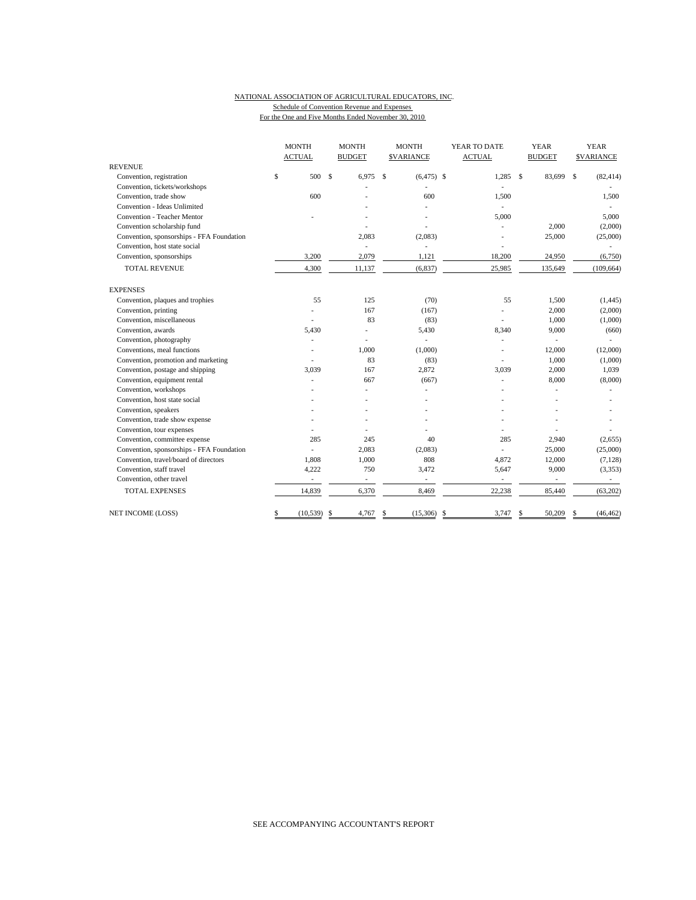## NATIONAL ASSOCIATION OF AGRICULTURAL EDUCATORS, INC. Schedule of Convention Revenue and Expenses

For the One and Five Months Ended November 30, 2010

|                                           |    | <b>MONTH</b>  |    | <b>MONTH</b>             |    | <b>MONTH</b>             | YEAR TO DATE |               |              | <b>YEAR</b>    | <b>YEAR</b>        |                          |
|-------------------------------------------|----|---------------|----|--------------------------|----|--------------------------|--------------|---------------|--------------|----------------|--------------------|--------------------------|
|                                           |    | <b>ACTUAL</b> |    | <b>BUDGET</b>            |    | <b>SVARIANCE</b>         |              | <b>ACTUAL</b> |              | <b>BUDGET</b>  |                    | <b>SVARIANCE</b>         |
| <b>REVENUE</b>                            |    | 500           |    |                          |    |                          |              |               |              |                |                    |                          |
| Convention, registration                  | \$ |               | \$ | 6,975                    | \$ | $(6, 475)$ \$            |              | 1,285         | $\mathbf{s}$ | 83,699         | $\mathbf{\hat{S}}$ | (82, 414)                |
| Convention, tickets/workshops             |    | 600           |    |                          |    | 600                      |              |               |              |                |                    |                          |
| Convention, trade show                    |    |               |    |                          |    |                          |              | 1,500         |              |                |                    | 1,500                    |
| Convention - Ideas Unlimited              |    |               |    |                          |    |                          |              |               |              |                |                    |                          |
| Convention - Teacher Mentor               |    |               |    |                          |    |                          |              | 5,000         |              |                |                    | 5,000                    |
| Convention scholarship fund               |    |               |    |                          |    |                          |              |               |              | 2,000          |                    | (2,000)                  |
| Convention, sponsorships - FFA Foundation |    |               |    | 2,083                    |    | (2,083)                  |              |               |              | 25,000         |                    | (25,000)                 |
| Convention, host state social             |    |               |    |                          |    |                          |              |               |              |                |                    |                          |
| Convention, sponsorships                  |    | 3,200         |    | 2,079                    |    | 1,121                    |              | 18,200        |              | 24,950         |                    | (6,750)                  |
| <b>TOTAL REVENUE</b>                      |    | 4,300         |    | 11,137                   |    | (6, 837)                 |              | 25,985        |              | 135,649        |                    | (109, 664)               |
| <b>EXPENSES</b>                           |    |               |    |                          |    |                          |              |               |              |                |                    |                          |
| Convention, plaques and trophies          |    | 55            |    | 125                      |    | (70)                     |              | 55            |              | 1,500          |                    | (1,445)                  |
| Convention, printing                      |    |               |    | 167                      |    | (167)                    |              |               |              | 2,000          |                    | (2,000)                  |
| Convention, miscellaneous                 |    |               |    | 83                       |    | (83)                     |              |               |              | 1,000          |                    | (1,000)                  |
| Convention, awards                        |    | 5,430         |    |                          |    | 5,430                    |              | 8,340         |              | 9,000          |                    | (660)                    |
| Convention, photography                   |    |               |    |                          |    |                          |              |               |              |                |                    |                          |
| Conventions, meal functions               |    |               |    | 1,000                    |    | (1,000)                  |              |               |              | 12,000         |                    | (12,000)                 |
| Convention, promotion and marketing       |    |               |    | 83                       |    | (83)                     |              |               |              | 1,000          |                    | (1,000)                  |
| Convention, postage and shipping          |    | 3,039         |    | 167                      |    | 2,872                    |              | 3,039         |              | 2,000          |                    | 1,039                    |
| Convention, equipment rental              |    |               |    | 667                      |    | (667)                    |              | ä,            |              | 8,000          |                    | (8,000)                  |
| Convention, workshops                     |    |               |    |                          |    |                          |              |               |              | $\overline{a}$ |                    |                          |
| Convention, host state social             |    |               |    |                          |    |                          |              |               |              |                |                    |                          |
| Convention, speakers                      |    |               |    |                          |    |                          |              |               |              |                |                    |                          |
| Convention, trade show expense            |    |               |    |                          |    |                          |              |               |              |                |                    |                          |
| Convention, tour expenses                 |    |               |    |                          |    |                          |              |               |              |                |                    |                          |
| Convention, committee expense             |    | 285           |    | 245                      |    | 40                       |              | 285           |              | 2,940          |                    | (2,655)                  |
| Convention, sponsorships - FFA Foundation |    |               |    | 2,083                    |    | (2,083)                  |              |               |              | 25,000         |                    | (25,000)                 |
| Convention, travel/board of directors     |    | 1,808         |    | 1,000                    |    | 808                      |              | 4,872         |              | 12,000         |                    | (7, 128)                 |
| Convention, staff travel                  |    | 4,222         |    | 750                      |    | 3,472                    |              | 5,647         |              | 9,000          |                    | (3, 353)                 |
| Convention, other travel                  |    |               |    | $\overline{\phantom{a}}$ |    | $\overline{\phantom{a}}$ |              | ÷,            |              | $\overline{a}$ |                    | $\overline{\phantom{a}}$ |
| <b>TOTAL EXPENSES</b>                     |    | 14,839        |    | 6,370                    |    | 8,469                    |              | 22,238        |              | 85,440         |                    | (63,202)                 |
| <b>NET INCOME (LOSS)</b>                  | \$ | $(10,539)$ \$ |    | 4,767                    | \$ | $(15,306)$ \$            |              | 3,747         | \$           | 50,209         | \$                 | (46, 462)                |